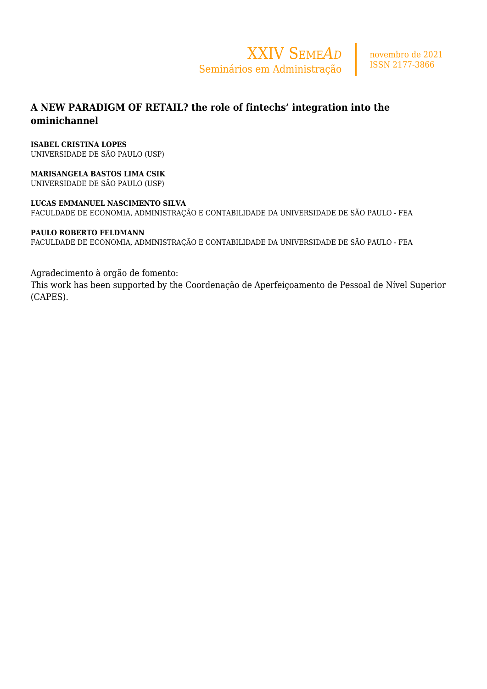

## **A NEW PARADIGM OF RETAIL? the role of fintechs' integration into the ominichannel**

#### **ISABEL CRISTINA LOPES**

UNIVERSIDADE DE SÃO PAULO (USP)

**MARISANGELA BASTOS LIMA CSIK** UNIVERSIDADE DE SÃO PAULO (USP)

#### **LUCAS EMMANUEL NASCIMENTO SILVA**

FACULDADE DE ECONOMIA, ADMINISTRAÇÃO E CONTABILIDADE DA UNIVERSIDADE DE SÃO PAULO - FEA

#### **PAULO ROBERTO FELDMANN**

FACULDADE DE ECONOMIA, ADMINISTRAÇÃO E CONTABILIDADE DA UNIVERSIDADE DE SÃO PAULO - FEA

#### Agradecimento à orgão de fomento:

This work has been supported by the Coordenação de Aperfeiçoamento de Pessoal de Nível Superior (CAPES).